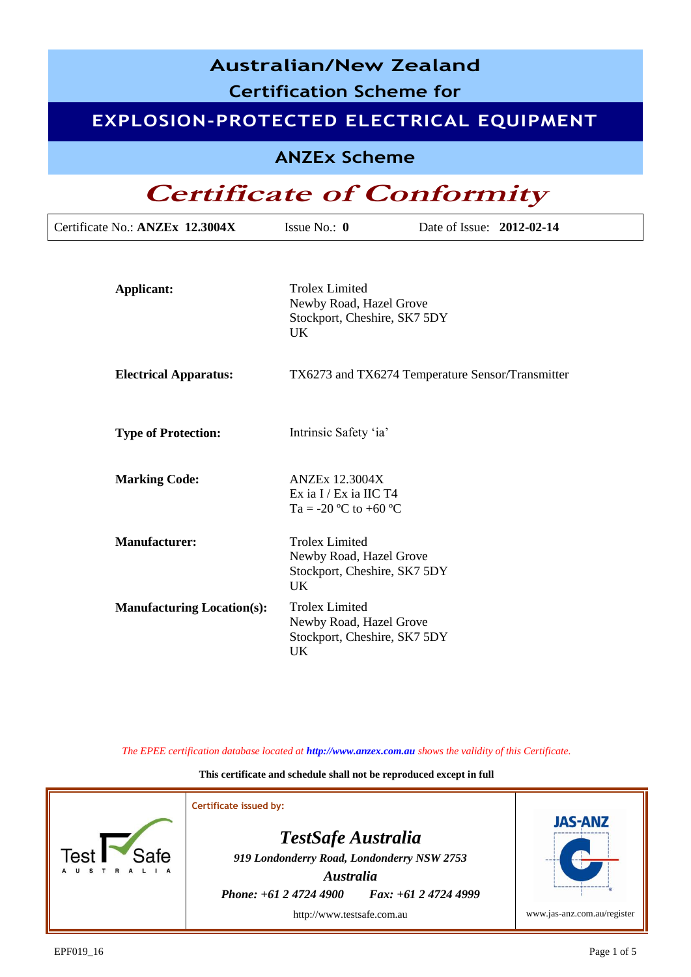### **Australian/New Zealand**

**Certification Scheme for**

### **EXPLOSION-PROTECTED ELECTRICAL EQUIPMENT**

**ANZEx Scheme**

## **Certificate of Conformity**

| Certificate No.: ANZEx 12.3004X   | Issue No.: $\mathbf{0}$                                                                       | Date of Issue: 2012-02-14                        |  |
|-----------------------------------|-----------------------------------------------------------------------------------------------|--------------------------------------------------|--|
| <b>Applicant:</b>                 | <b>Trolex Limited</b><br>Newby Road, Hazel Grove<br>Stockport, Cheshire, SK7 5DY<br>UK.       |                                                  |  |
| <b>Electrical Apparatus:</b>      |                                                                                               | TX6273 and TX6274 Temperature Sensor/Transmitter |  |
| <b>Type of Protection:</b>        | Intrinsic Safety 'ia'                                                                         |                                                  |  |
| <b>Marking Code:</b>              | <b>ANZEx 12.3004X</b><br>Ex ia I / Ex ia IIC T4<br>Ta = -20 °C to +60 °C                      |                                                  |  |
| <b>Manufacturer:</b>              | <b>Trolex Limited</b><br>Newby Road, Hazel Grove<br>Stockport, Cheshire, SK7 5DY<br><b>UK</b> |                                                  |  |
| <b>Manufacturing Location(s):</b> | <b>Trolex Limited</b><br>Newby Road, Hazel Grove<br>Stockport, Cheshire, SK7 5DY<br>UK        |                                                  |  |

*The EPEE certification database located at http://www.anzex.com.au shows the validity of this Certificate.*

**This certificate and schedule shall not be reproduced except in full**

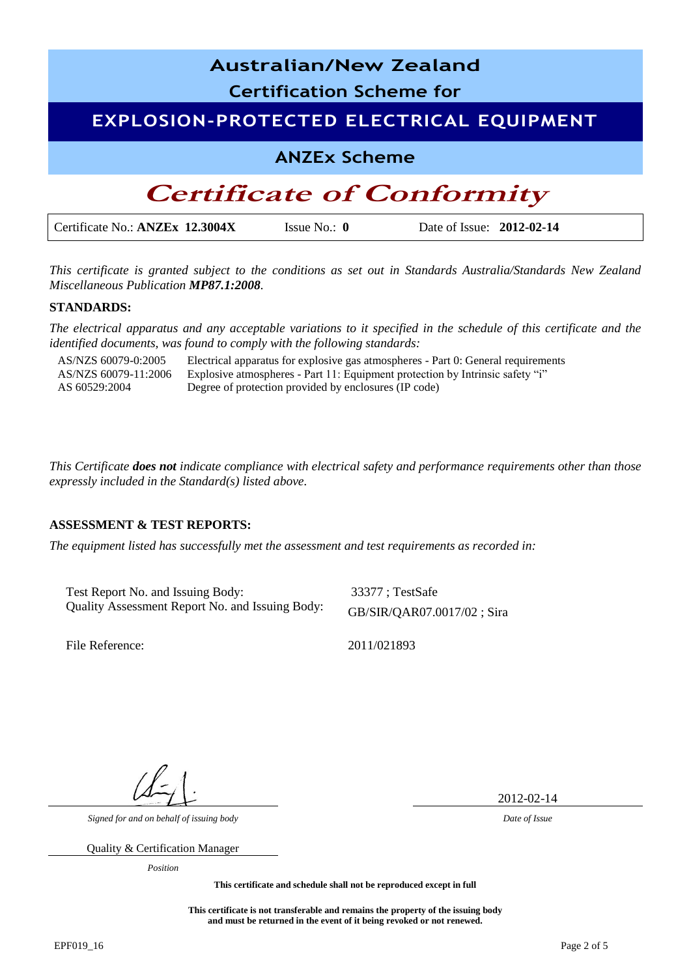

*This certificate is granted subject to the conditions as set out in Standards Australia/Standards New Zealand Miscellaneous Publication MP87.1:2008.*

#### **STANDARDS:**

*The electrical apparatus and any acceptable variations to it specified in the schedule of this certificate and the identified documents, was found to comply with the following standards:* 

AS/NZS 60079-0:2005 Electrical apparatus for explosive gas atmospheres - Part 0: General requirements AS/NZS 60079-11:2006 AS 60529:2004 Explosive atmospheres - Part 11: Equipment protection by Intrinsic safety "i" Degree of protection provided by enclosures (IP code)

*This Certificate does not indicate compliance with electrical safety and performance requirements other than those expressly included in the Standard(s) listed above.*

#### **ASSESSMENT & TEST REPORTS:**

*The equipment listed has successfully met the assessment and test requirements as recorded in:* 

Test Report No. and Issuing Body: 33377; TestSafe Quality Assessment Report No. and Issuing Body: GB/SIR/QAR07.0017/02 ; Sira

File Reference: 2011/021893

2012-02-14

*Signed for and on behalf of issuing body Date of Issue*

Quality & Certification Manager

*Position*

**This certificate and schedule shall not be reproduced except in full**

**This certificate is not transferable and remains the property of the issuing body and must be returned in the event of it being revoked or not renewed.**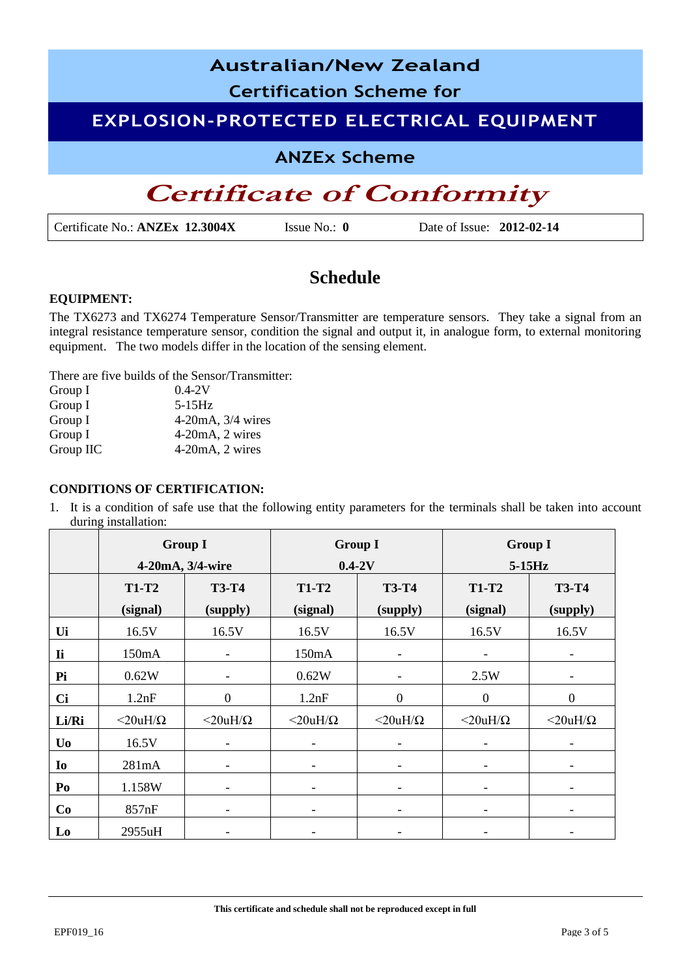# **Australian/New Zealand Certification Scheme for EXPLOSION-PROTECTED ELECTRICAL EQUIPMENT ANZEx Scheme Certificate of Conformity**

Certificate No.: **ANZEx 12.3004X** Issue No.: **0** Date of Issue: **2012-02-14**

### **Schedule**

#### **EQUIPMENT:**

The TX6273 and TX6274 Temperature Sensor/Transmitter are temperature sensors. They take a signal from an integral resistance temperature sensor, condition the signal and output it, in analogue form, to external monitoring equipment. The two models differ in the location of the sensing element.

There are five builds of the Sensor/Transmitter:

| Group I   | $0.4 - 2V$             |
|-----------|------------------------|
| Group I   | $5-15Hz$               |
| Group I   | $4-20mA$ , $3/4$ wires |
| Group I   | $4-20mA$ , $2 wires$   |
| Group IIC | $4-20mA$ , $2 wires$   |

#### **CONDITIONS OF CERTIFICATION:**

1. It is a condition of safe use that the following entity parameters for the terminals shall be taken into account during installation:

|                | <b>Group I</b>     |                    | <b>Group I</b>           |                          | <b>Group I</b>           |                          |
|----------------|--------------------|--------------------|--------------------------|--------------------------|--------------------------|--------------------------|
|                | 4-20mA, 3/4-wire   |                    | $0.4-2V$                 |                          | $5-15Hz$                 |                          |
|                | <b>T1-T2</b>       | <b>T3-T4</b>       | <b>T1-T2</b>             | <b>T3-T4</b>             | <b>T1-T2</b>             | <b>T3-T4</b>             |
|                | (signal)           | (supply)           | (signal)                 | (supply)                 | (signal)                 | (supply)                 |
| Ui             | 16.5V              | 16.5V              | 16.5V                    | 16.5V                    | 16.5V                    | 16.5V                    |
| <b>Ii</b>      | 150mA              |                    | 150mA                    | $\overline{\phantom{a}}$ | -                        |                          |
| Pi             | 0.62W              |                    | 0.62W                    | $\overline{\phantom{a}}$ | 2.5W                     |                          |
| <b>Ci</b>      | 1.2nF              | $\boldsymbol{0}$   | 1.2nF                    | $\boldsymbol{0}$         | $\boldsymbol{0}$         | $\boldsymbol{0}$         |
| Li/Ri          | $<$ 20uH/ $\Omega$ | $<$ 20uH/ $\Omega$ | $<$ 20uH/ $\Omega$       | $<$ 20uH/ $\Omega$       | $<$ 20uH/ $\Omega$       | $<$ 20uH/ $\Omega$       |
| U <sub>0</sub> | 16.5V              |                    |                          |                          |                          |                          |
| Io             | 281mA              | ۰                  |                          | $\overline{\phantom{a}}$ | -                        | $\overline{\phantom{a}}$ |
| Po             | 1.158W             | $\overline{a}$     | $\overline{\phantom{a}}$ | $\overline{\phantom{a}}$ | $\overline{\phantom{a}}$ | $\overline{\phantom{0}}$ |
| Co             | 857nF              |                    |                          |                          |                          |                          |
| Lo             | 2955uH             |                    |                          |                          |                          |                          |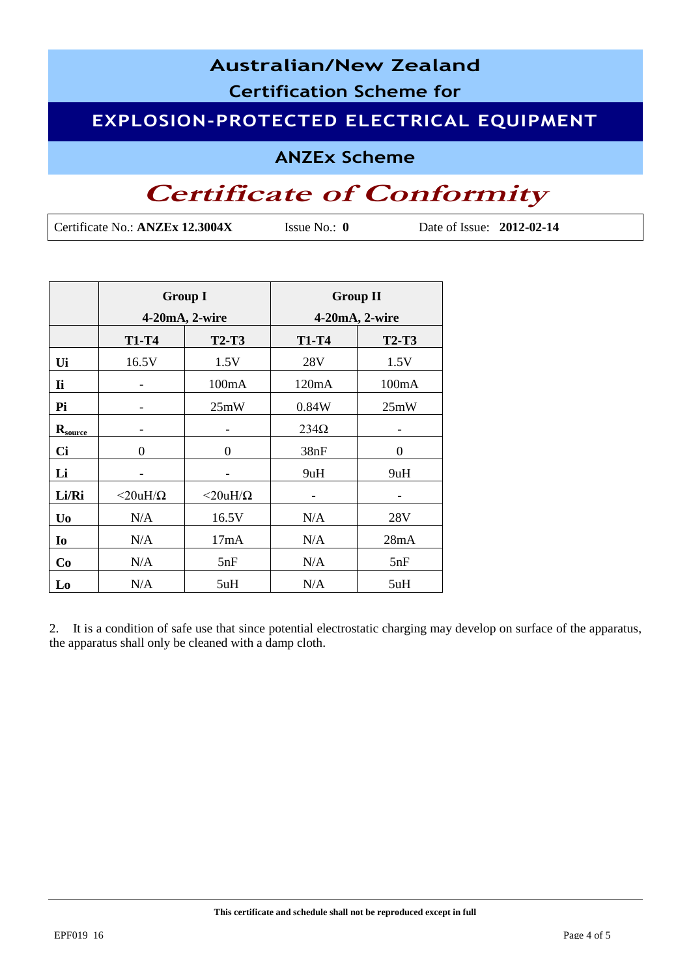### **Australian/New Zealand Certification Scheme for EXPLOSION-PROTECTED ELECTRICAL EQUIPMENT**

**ANZEx Scheme**

## **Certificate of Conformity**

Certificate No.: **ANZEx 12.3004X** Issue No.: **0** Date of Issue: **2012-02-14**

|                |                    | <b>Group I</b>     | <b>Group II</b> |              |  |  |
|----------------|--------------------|--------------------|-----------------|--------------|--|--|
|                | 4-20mA, 2-wire     |                    | 4-20mA, 2-wire  |              |  |  |
|                | <b>T1-T4</b>       | <b>T2-T3</b>       | <b>T1-T4</b>    | <b>T2-T3</b> |  |  |
| Ui             | 16.5V              | 1.5V               | 28V             | 1.5V         |  |  |
| <b>Ii</b>      |                    | 100mA              | 120mA           | 100mA        |  |  |
| Pi             |                    | 25mW               | 0.84W           | 25mW         |  |  |
| $R_{source}$   |                    |                    | $234\Omega$     |              |  |  |
| <b>Ci</b>      | 0                  | 0                  | 38nF            | 0            |  |  |
| Li             |                    |                    | 9uH             | 9uH          |  |  |
| Li/Ri          | $<$ 20uH/ $\Omega$ | $<$ 20uH/ $\Omega$ |                 |              |  |  |
| U <sub>0</sub> | N/A                | 16.5V              | N/A             | 28V          |  |  |
| I <sub>0</sub> | N/A                | 17mA               | N/A             | 28mA         |  |  |
| Co             | N/A                | 5nF                | N/A             | 5nF          |  |  |
| Lo             | N/A                | 5uH                | N/A             | 5uH          |  |  |

2. It is a condition of safe use that since potential electrostatic charging may develop on surface of the apparatus, the apparatus shall only be cleaned with a damp cloth.